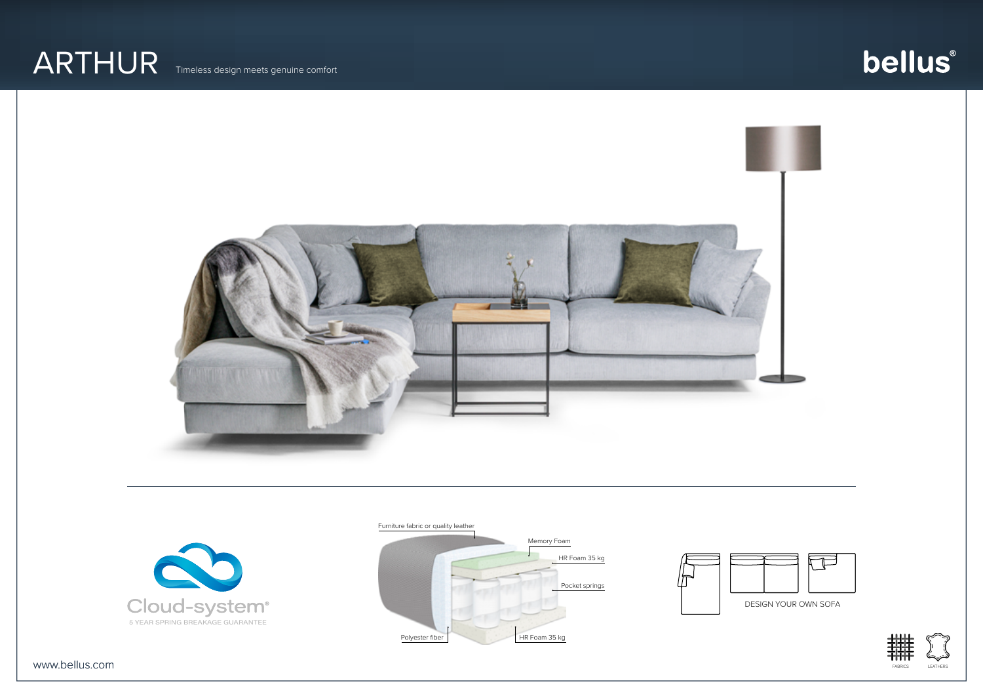### ARTHUR Timeless design meets genuine comfort

## bellus®





Furniture fabric or quality leather